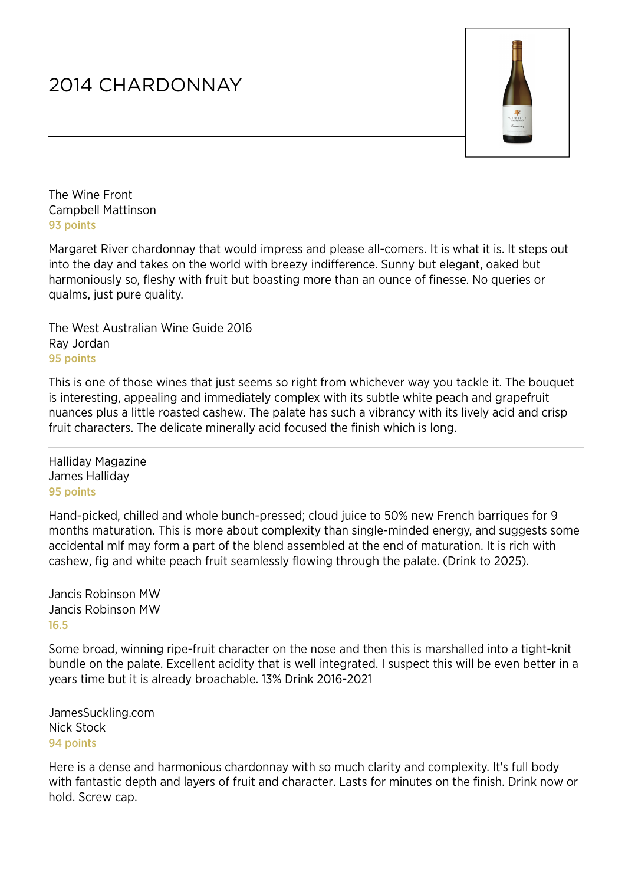## 2014 CHARDONNAY



The Wine Front Campbell Mattinson 93 points

Margaret River chardonnay that would impress and please all-comers. It is what it is. It steps out into the day and takes on the world with breezy indifference. Sunny but elegant, oaked but harmoniously so, fleshy with fruit but boasting more than an ounce of finesse. No queries or qualms, just pure quality.

The West Australian Wine Guide 2016 Ray Jordan 95 points

This is one of those wines that just seems so right from whichever way you tackle it. The bouquet is interesting, appealing and immediately complex with its subtle white peach and grapefruit nuances plus a little roasted cashew. The palate has such a vibrancy with its lively acid and crisp fruit characters. The delicate minerally acid focused the finish which is long.

Halliday Magazine James Halliday 95 points

Hand-picked, chilled and whole bunch-pressed; cloud juice to 50% new French barriques for 9 months maturation. This is more about complexity than single-minded energy, and suggests some accidental mlf may form a part of the blend assembled at the end of maturation. It is rich with cashew, fig and white peach fruit seamlessly flowing through the palate. (Drink to 2025).

Jancis Robinson MW Jancis Robinson MW 16.5

Some broad, winning ripe-fruit character on the nose and then this is marshalled into a tight-knit bundle on the palate. Excellent acidity that is well integrated. I suspect this will be even better in a years time but it is already broachable. 13% Drink 2016-2021

JamesSuckling.com Nick Stock 94 points

Here is a dense and harmonious chardonnay with so much clarity and complexity. It's full body with fantastic depth and layers of fruit and character. Lasts for minutes on the finish. Drink now or hold. Screw cap.